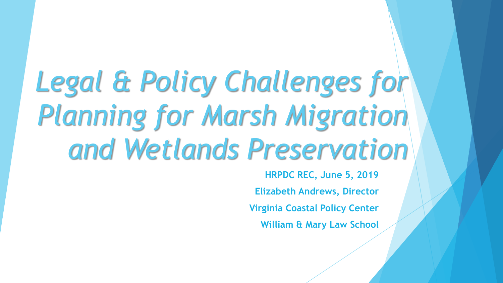# *Legal & Policy Challenges for Planning for Marsh Migration and Wetlands Preservation*

**HRPDC REC, June 5, 2019 Elizabeth Andrews, Director Virginia Coastal Policy Center William & Mary Law School**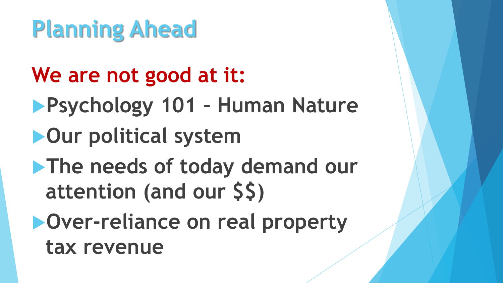- **We are not good at it:**
- **Psychology 101 – Human Nature**
- **Our political system**
- **The needs of today demand our attention (and our \$\$)**
- **Over-reliance on real property tax revenue**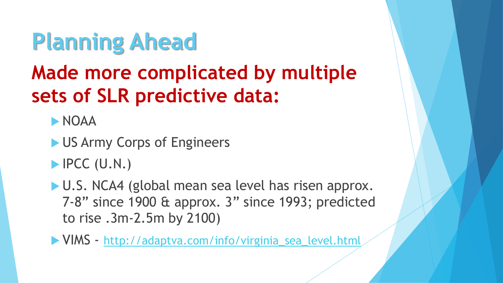### **Made more complicated by multiple sets of SLR predictive data:**

**NOAA** 

- US Army Corps of Engineers
- $\blacktriangleright$  IPCC (U.N.)
- U.S. NCA4 (global mean sea level has risen approx. 7-8" since 1900 & approx. 3" since 1993; predicted to rise .3m-2.5m by 2100)
- VIMS [http://adaptva.com/info/virginia\\_sea\\_level.html](http://adaptva.com/info/virginia_sea_level.html)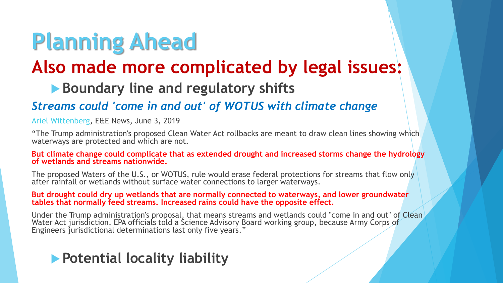### **Also made more complicated by legal issues:**

#### **Boundary line and regulatory shifts**

#### *Streams could 'come in and out' of WOTUS with climate change*

[Ariel Wittenberg,](https://www.eenews.net/staff/Ariel_Wittenberg) E&E News, June 3, 2019

"The Trump administration's proposed Clean Water Act rollbacks are meant to draw clean lines showing which waterways are protected and which are not.

**But climate change could complicate that as extended drought and increased storms change the hydrology of wetlands and streams nationwide.**

The proposed Waters of the U.S., or WOTUS, rule would erase federal protections for streams that flow only after rainfall or wetlands without surface water connections to larger waterways.

**But drought could dry up wetlands that are normally connected to waterways, and lower groundwater tables that normally feed streams. Increased rains could have the opposite effect.**

Under the Trump administration's proposal, that means streams and wetlands could "come in and out" of Clean, Water Act jurisdiction, EPA officials told a Science Advisory Board working group, because Army Corps of Engineers jurisdictional determinations last only five years."

#### **Potential locality liability**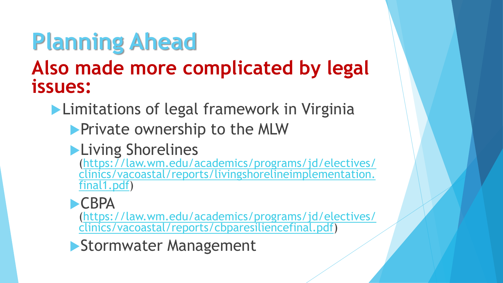### **Also made more complicated by legal issues:**

**Limitations of legal framework in Virginia** 

**Private ownership to the MLW** 

### **Living Shorelines**

(https://law.wm.edu/academics/programs/jd/electives/ [clinics/vacoastal/reports/livingshorelineimplementation.](https://law.wm.edu/academics/programs/jd/electives/clinics/vacoastal/reports/livingshorelineimplementation.final1.pdf) final1.pdf)

#### **CBPA**

[\(https://law.wm.edu/academics/programs/jd/electives/](https://law.wm.edu/academics/programs/jd/electives/clinics/vacoastal/reports/cbparesiliencefinal.pdf) clinics/vacoastal/reports/cbparesiliencefinal.pdf)

Stormwater Management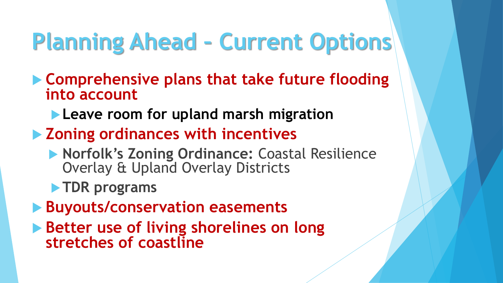## **Planning Ahead – Current Options**

- **Comprehensive plans that take future flooding into account**
	- **Leave room for upland marsh migration**
- **Zoning ordinances with incentives**
	- **Norfolk's Zoning Ordinance: Coastal Resilience** Overlay & Upland Overlay Districts
	- **TDR programs**
- **Buyouts/conservation easements**
- **Better use of living shorelines on long stretches of coastline**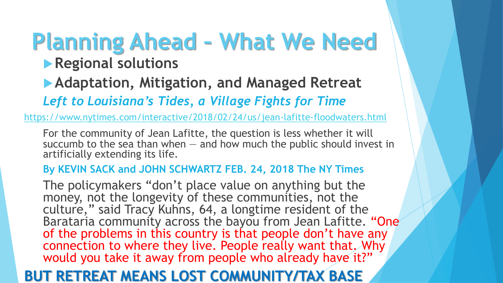# **Planning Ahead – What We Need**

#### **Regional solutions**

**Adaptation, Mitigation, and Managed Retreat** 

*Left to Louisiana's Tides, a Village Fights for Time*

<https://www.nytimes.com/interactive/2018/02/24/us/jean-lafitte-floodwaters.html>

For the community of Jean Lafitte, the question is less whether it will succumb to the sea than when — and how much the public should invest in artificially extending its life.

#### **By KEVIN SACK and JOHN SCHWARTZ FEB. 24, 2018 The NY Times**

The policymakers "don't place value on anything but the money, not the longevity of these communities, not the culture," said Tracy Kuhns, 64, a longtime resident of the Barataria community across the bayou from Jean Lafitte. "One of the problems in this country is that people don't have any connection to where they live. People really want that. Why would you take it away from people who already have it?"

#### **BUT RETREAT MEANS LOST COMMUNITY/TAX BASE**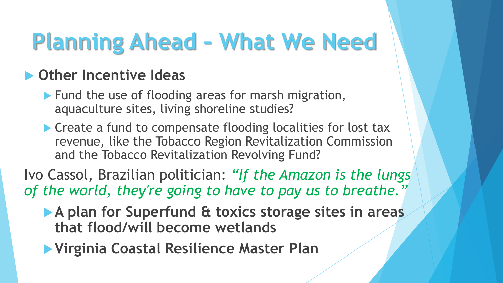## **Planning Ahead – What We Need**

### **Other Incentive Ideas**

- **Fund the use of flooding areas for marsh migration,** aquaculture sites, living shoreline studies?
- ▶ Create a fund to compensate flooding localities for lost tax revenue, like the Tobacco Region Revitalization Commission and the Tobacco Revitalization Revolving Fund?
- Ivo Cassol, Brazilian politician: *"If the Amazon is the lungs of the world, they're going to have to pay us to breathe."*
	- **A plan for Superfund & toxics storage sites in areas that flood/will become wetlands**
	- **Virginia Coastal Resilience Master Plan**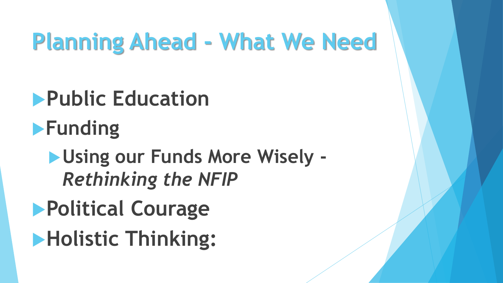## **Planning Ahead - What We Need**

- **Public Education Funding Using our Funds More Wisely -** *Rethinking the NFIP*
- **Political Courage**
- **Holistic Thinking:**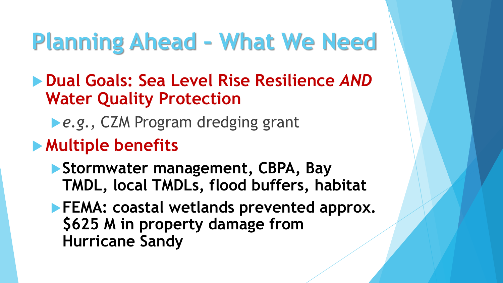### **Planning Ahead – What We Need**

- **Dual Goals: Sea Level Rise Resilience** *AND* **Water Quality Protection**
	- **Le.g., CZM Program dredging grant**
- **Multiple benefits** 
	- **Stormwater management, CBPA, Bay TMDL, local TMDLs, flood buffers, habitat**
	- **FEMA: coastal wetlands prevented approx. \$625 M in property damage from Hurricane Sandy**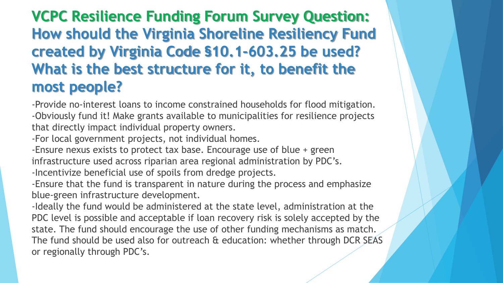### **VCPC Resilience Funding Forum Survey Question: How should the Virginia Shoreline Resiliency Fund created by Virginia Code §10.1-603.25 be used? What is the best structure for it, to benefit the most people?**

-Provide no-interest loans to income constrained households for flood mitigation. -Obviously fund it! Make grants available to municipalities for resilience projects that directly impact individual property owners.

-For local government projects, not individual homes.

-Ensure nexus exists to protect tax base. Encourage use of blue + green infrastructure used across riparian area regional administration by PDC's. -Incentivize beneficial use of spoils from dredge projects.

-Ensure that the fund is transparent in nature during the process and emphasize blue-green infrastructure development.

-Ideally the fund would be administered at the state level, administration at the PDC level is possible and acceptable if loan recovery risk is solely accepted by the state. The fund should encourage the use of other funding mechanisms as match. The fund should be used also for outreach & education: whether through DCR SEAS or regionally through PDC's.